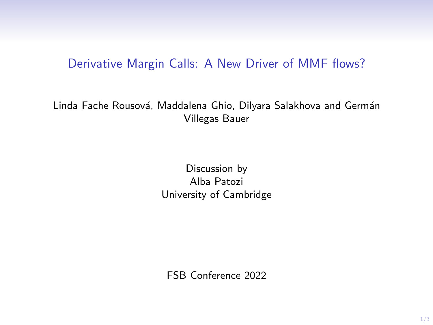## Derivative Margin Calls: A New Driver of MMF flows?

Linda Fache Rousová, Maddalena Ghio, Dilyara Salakhova and Germán Villegas Bauer

> Discussion by Alba Patozi University of Cambridge

FSB Conference 2022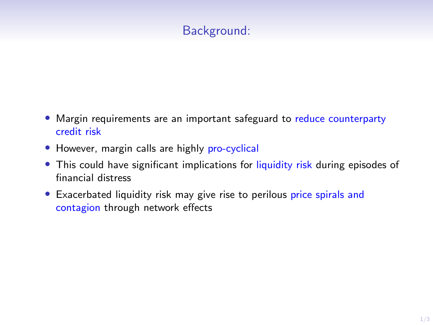## Background:

- Margin requirements are an important safeguard to reduce counterparty credit risk
- However, margin calls are highly pro-cyclical
- This could have significant implications for liquidity risk during episodes of financial distress
- Exacerbated liquidity risk may give rise to perilous price spirals and contagion through network effects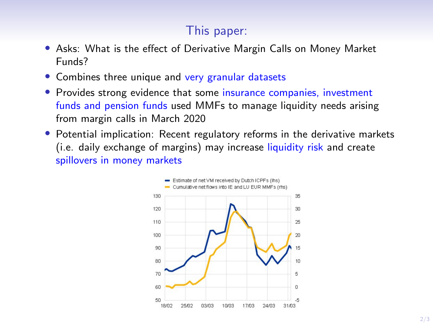## This paper:

- Asks: What is the effect of Derivative Margin Calls on Money Market Funds?
- Combines three unique and very granular datasets
- Provides strong evidence that some insurance companies, investment funds and pension funds used MMFs to manage liquidity needs arising from margin calls in March 2020
- Potential implication: Recent regulatory reforms in the derivative markets (i.e. daily exchange of margins) may increase liquidity risk and create spillovers in money markets